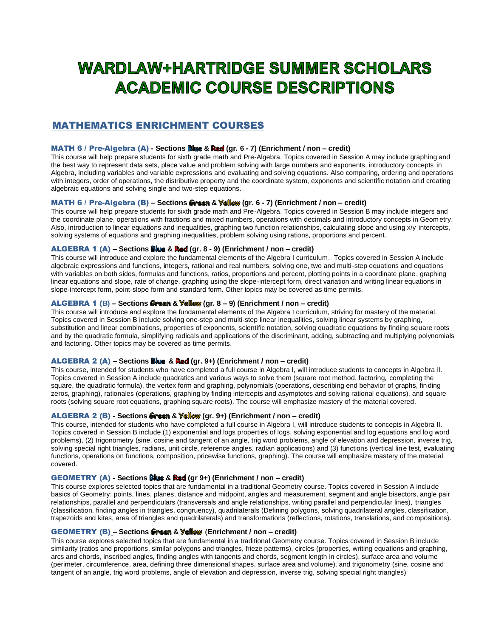# **WARDLAW+HARTRIDGE SUMMER SCHOLARS ACADEMIC COURSE DESCRIPTIONS**

# MATHEMATICS ENRICHMENT COURSES

#### MATH 6 / Pre-Algebra (A) **- Sections & (gr. 6 - 7) (Enrichment / non – credit)**

This course will help prepare students for sixth grade math and Pre-Algebra. Topics covered in Session A may include graphing and the best way to represent data sets, place value and problem solving with large numbers and exponents, introductory concepts in Algebra, including variables and variable expressions and evaluating and solving equations. Also comparing, ordering and operations with integers, order of operations, the distributive property and the coordinate system, exponents and scientific notation and creating algebraic equations and solving single and two-step equations.

#### MATH 6 / Pre-Algebra (B) **– Sections & (gr. 6 - 7) (Enrichment / non – credit)**

This course will help prepare students for sixth grade math and Pre-Algebra. Topics covered in Session B may include integers and the coordinate plane, operations with fractions and mixed numbers, operations with decimals and introductory concepts in Geometry. Also, introduction to linear equations and inequalities, graphing two function relationships, calculating slope and using x/y intercepts, solving systems of equations and graphing inequalities, problem solving using rations, proportions and percent.

#### ALGEBRA 1 (A) **– Sections & (gr. 8 - 9) (Enrichment / non – credit)**

This course will introduce and explore the fundamental elements of the Algebra I curriculum. Topics covered in Session A include algebraic expressions and functions, integers, rational and real numbers, solving one, two and multi-step equations and equations with variables on both sides, formulas and functions, ratios, proportions and percent, plotting points in a coordinate plane, graphing linear equations and slope, rate of change, graphing using the slope-intercept form, direct variation and writing linear equations in slope-intercept form, point-slope form and standard form. Other topics may be covered as time permits.

#### ALGEBRA 1 (**B) – Sections & (gr. 8 – 9) (Enrichment / non – credit)**

This course will introduce and explore the fundamental elements of the Algebra I curriculum, striving for mastery of the material. Topics covered in Session B include solving one-step and multi-step linear inequalities, solving linear systems by graphing, substitution and linear combinations, properties of exponents, scientific notation, solving quadratic equations by finding square roots and by the quadratic formula, simplifying radicals and applications of the discriminant, adding, subtracting and multiplying polynomials and factoring. Other topics may be covered as time permits.

#### ALGEBRA 2 (A) – **Sections & (gr. 9+) (Enrichment / non – credit)**

This course, intended for students who have completed a full course in Algebra I, will introduce students to concepts in Algebra II. Topics covered in Session A include quadratics and various ways to solve them (square root method, factoring, completing the square, the quadratic formula), the vertex form and graphing, polynomials (operations, describing end behavior of graphs, finding zeros, graphing), rationales (operations, graphing by finding intercepts and asymptotes and solving rational equations), and square roots (solving square root equations, graphing square roots). The course will emphasize mastery of the material covered.

#### ALGEBRA 2 (B) **- Sections & (gr. 9+) (Enrichment / non – credit)**

This course, intended for students who have completed a full course in Algebra I, will introduce students to concepts in Algebra II. Topics covered in Session B include (1) exponential and logs properties of logs, solving exponential and log equations and lo g word problems), (2) trigonometry (sine, cosine and tangent of an angle, trig word problems, angle of elevation and depression, inverse trig, solving special right triangles, radians, unit circle, reference angles, radian applications) and (3) functions (vertical line test, evaluating functions, operations on functions, composition, pricewise functions, graphing). The course will emphasize mastery of the material covered.

#### GEOMETRY (A) **- Sections & (gr 9+) (Enrichment / non – credit)**

This course explores selected topics that are fundamental in a traditional Geometry course. Topics covered in Session A inclu de basics of Geometry: points, lines, planes, distance and midpoint, angles and measurement, segment and angle bisectors, angle pair relationships, parallel and perpendiculars (transversals and angle relationships, writing parallel and perpendicular lines), triangles (classification, finding angles in triangles, congruency), quadrilaterals (Defining polygons, solving quadrilateral angles, classification, trapezoids and kites, area of triangles and quadrilaterals) and transformations (reflections, rotations, translations, and co mpositions).

#### GEOMETRY (B) – **Sections &** (**Enrichment / non – credit)**

This course explores selected topics that are fundamental in a traditional Geometry course. Topics covered in Session B inclu de similarity (ratios and proportions, similar polygons and triangles, frieze patterns), circles (properties, writing equations and graphing, arcs and chords, inscribed angles, finding angles with tangents and chords, segment length in circles), surface area and volu me (perimeter, circumference, area, defining three dimensional shapes, surface area and volume), and trigonometry (sine, cosine and tangent of an angle, trig word problems, angle of elevation and depression, inverse trig, solving special right triangles)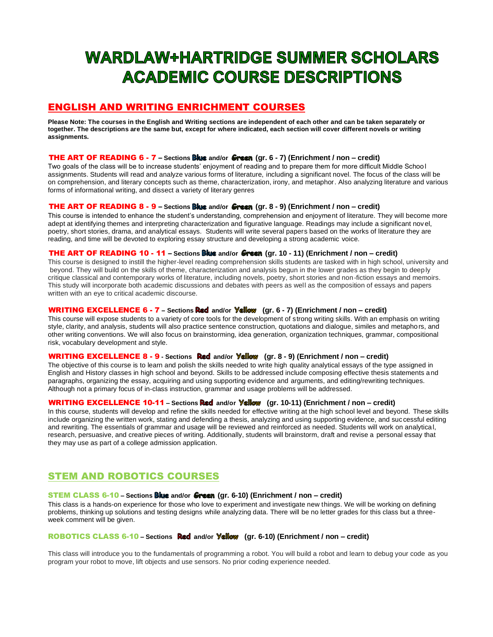# **WARDLAW+HARTRIDGE SUMMER SCHOLARS ACADEMIC COURSE DESCRIPTIONS**

### ENGLISH AND WRITING ENRICHMENT COURSES

**Please Note: The courses in the English and Writing sections are independent of each other and can be taken separately or together. The descriptions are the same but, except for where indicated, each section will cover different novels or writing assignments.**

#### THE ART OF READING 6 - 7 – **Sections and/or (gr. 6 - 7) (Enrichment / non – credit)**

Two goals of the class will be to increase students' enjoyment of reading and to prepare them for more difficult Middle School assignments. Students will read and analyze various forms of literature, including a significant novel. The focus of the class will be on comprehension, and literary concepts such as theme, characterization, irony, and metaphor. Also analyzing literature and various forms of informational writing, and dissect a variety of literary genres

#### THE ART OF READING 8 - 9 - Sections Blue and/or **Green** (gr. 8 - 9) (Enrichment / non - credit)

This course is intended to enhance the student's understanding, comprehension and enjoyment of literature. They will become more adept at identifying themes and interpreting characterization and figurative language. Readings may include a significant novel, poetry, short stories, drama, and analytical essays. Students will write several papers based on the works of literature they are reading, and time will be devoted to exploring essay structure and developing a strong academic voice.

#### THE ART OF READING 10 - 11 - Sections **Blue** and/or **Green** (gr. 10 - 11) (Enrichment / non - credit)

 This course is designed to instill the higher-level reading comprehension skills students are tasked with in high school, university and beyond. They will build on the skills of theme, characterization and analysis begun in the lower grades as they begin to deeply critique classical and contemporary works of literature, including novels, poetry, short stories and non-fiction essays and memoirs. This study will incorporate both academic discussions and debates with peers as well as the composition of essays and papers written with an eye to critical academic discourse.

#### **WRITING EXCELLENCE 6 - 7** - Sections **Red** and/or **Yellow** (gr. 6 - 7) (Enrichment / non - credit)

This course will expose students to a variety of core tools for the development of strong writing skills. With an emphasis on writing style, clarity, and analysis, students will also practice sentence construction, quotations and dialogue, similes and metaphors, and other writing conventions. We will also focus on brainstorming, idea generation, organization techniques, grammar, compositional risk, vocabulary development and style.

#### WRITING EXCELLENCE 8 - 9 - Sections Red and/or  $\text{Vellow}$  (gr. 8 - 9) (Enrichment / non – credit)

The objective of this course is to learn and polish the skills needed to write high quality analytical essays of the type assigned in English and History classes in high school and beyond. Skills to be addressed include composing effective thesis statements and paragraphs, organizing the essay, acquiring and using supporting evidence and arguments, and editing/rewriting techniques. Although not a primary focus of in-class instruction, grammar and usage problems will be addressed.

#### WRITING EXCELLENCE 10-11 - Sections **Red** and/or **Yellow** (gr. 10-11) (Enrichment / non – credit)

In this course, students will develop and refine the skills needed for effective writing at the high school level and beyond. These skills include organizing the written work, stating and defending a thesis, analyzing and using supporting evidence, and suc cessful editing and rewriting. The essentials of grammar and usage will be reviewed and reinforced as needed. Students will work on analytica l, research, persuasive, and creative pieces of writing. Additionally, students will brainstorm, draft and revise a personal essay that they may use as part of a college admission application.

### STEM AND ROBOTICS COURSES

#### **STEM CLASS 6-10 - Sections Blue and/or Green (gr. 6-10) (Enrichment / non – credit)**

This class is a hands-on experience for those who love to experiment and investigate new things. We will be working on defining problems, thinking up solutions and testing designs while analyzing data. There will be no letter grades for this class but a threeweek comment will be given.

#### ROBOTICS CLASS 6-10 **– Sections and/or (gr. 6-10) (Enrichment / non – credit)**

This class will introduce you to the fundamentals of programming a robot. You will build a robot and learn to debug your code as you program your robot to move, lift objects and use sensors. No prior coding experience needed.